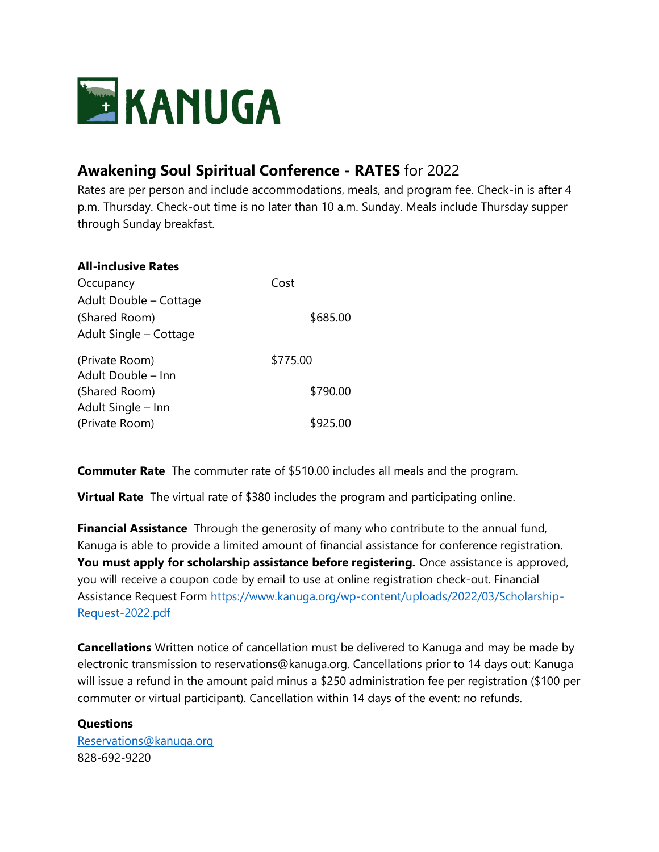

## **Awakening Soul Spiritual Conference - RATES** for 2022

Rates are per person and include accommodations, meals, and program fee. Check-in is after 4 p.m. Thursday. Check-out time is no later than 10 a.m. Sunday. Meals include Thursday supper through Sunday breakfast.

| <b>All-inclusive Rates</b> |          |
|----------------------------|----------|
| <b>Occupancy</b>           | Cost     |
| Adult Double – Cottage     |          |
| (Shared Room)              | \$685.00 |
| Adult Single - Cottage     |          |
| (Private Room)             | \$775.00 |
| Adult Double – Inn         |          |
| (Shared Room)              | \$790.00 |
| Adult Single - Inn         |          |
| (Private Room)             | \$925.00 |

**Commuter Rate** The commuter rate of \$510.00 includes all meals and the program.

**Virtual Rate** The virtual rate of \$380 includes the program and participating online.

**Financial Assistance** Through the generosity of many who contribute to the annual fund, Kanuga is able to provide a limited amount of financial assistance for conference registration. **You must apply for scholarship assistance before registering.** Once assistance is approved, you will receive a coupon code by email to use at online registration check-out. Financial Assistance Request Form [https://www.kanuga.org/wp-content/uploads/2022/03/Scholarship-](https://www.kanuga.org/wp-content/uploads/2022/03/Scholarship-Request-2022.pdf)[Request-2022.pdf](https://www.kanuga.org/wp-content/uploads/2022/03/Scholarship-Request-2022.pdf)

**Cancellations** Written notice of cancellation must be delivered to Kanuga and may be made by electronic transmission to reservations@kanuga.org. Cancellations prior to 14 days out: Kanuga will issue a refund in the amount paid minus a \$250 administration fee per registration (\$100 per commuter or virtual participant). Cancellation within 14 days of the event: no refunds.

## **Questions**

[Reservations@kanuga.org](mailto:Reservations@kanuga.org?subject=Awakening%20Soul%20Request) 828-692-9220